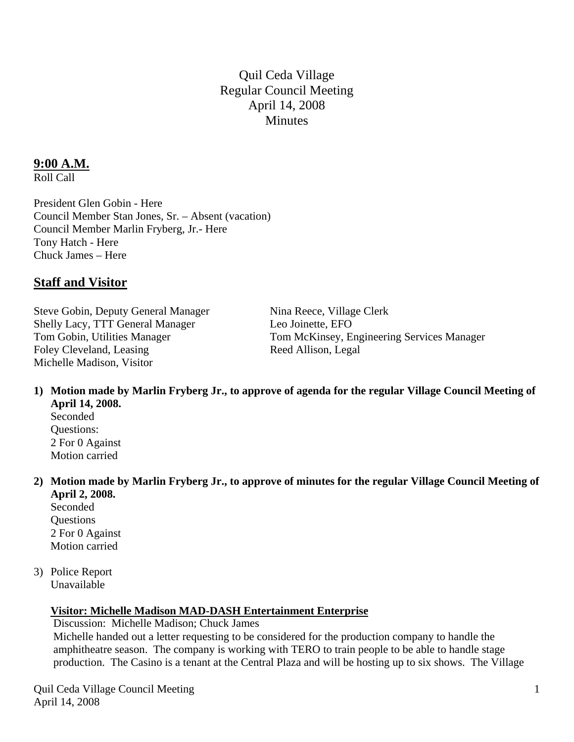Quil Ceda Village Regular Council Meeting April 14, 2008 **Minutes** 

### **9:00 A.M.**

Roll Call

President Glen Gobin - Here Council Member Stan Jones, Sr. – Absent (vacation) Council Member Marlin Fryberg, Jr.- Here Tony Hatch - Here Chuck James – Here

### **Staff and Visitor**

Steve Gobin, Deputy General Manager Nina Reece, Village Clerk Shelly Lacy, TTT General Manager Leo Joinette, EFO Foley Cleveland, Leasing Reed Allison, Legal Michelle Madison, Visitor

Tom Gobin, Utilities Manager Tom McKinsey, Engineering Services Manager

- **1) Motion made by Marlin Fryberg Jr., to approve of agenda for the regular Village Council Meeting of April 14, 2008.** 
	- Seconded Questions: 2 For 0 Against Motion carried
- **2) Motion made by Marlin Fryberg Jr., to approve of minutes for the regular Village Council Meeting of April 2, 2008.**

Seconded **Ouestions**  2 For 0 Against Motion carried

3) Police Report Unavailable

#### **Visitor: Michelle Madison MAD-DASH Entertainment Enterprise**

 Discussion: Michelle Madison; Chuck James Michelle handed out a letter requesting to be considered for the production company to handle the amphitheatre season. The company is working with TERO to train people to be able to handle stage production. The Casino is a tenant at the Central Plaza and will be hosting up to six shows. The Village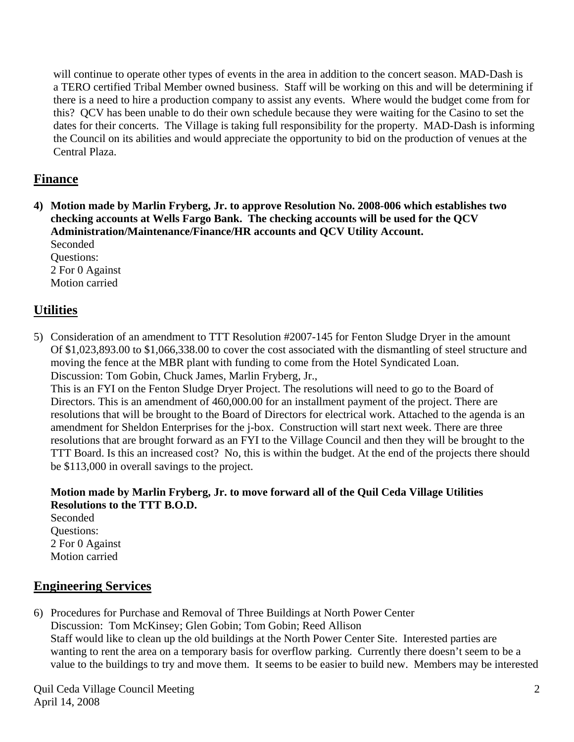will continue to operate other types of events in the area in addition to the concert season. MAD-Dash is a TERO certified Tribal Member owned business. Staff will be working on this and will be determining if there is a need to hire a production company to assist any events. Where would the budget come from for this? QCV has been unable to do their own schedule because they were waiting for the Casino to set the dates for their concerts. The Village is taking full responsibility for the property. MAD-Dash is informing the Council on its abilities and would appreciate the opportunity to bid on the production of venues at the Central Plaza.

## **Finance**

**4) Motion made by Marlin Fryberg, Jr. to approve Resolution No. 2008-006 which establishes two checking accounts at Wells Fargo Bank. The checking accounts will be used for the QCV Administration/Maintenance/Finance/HR accounts and QCV Utility Account.**  Seconded

 Questions: 2 For 0 Against Motion carried

# **Utilities**

5) Consideration of an amendment to TTT Resolution #2007-145 for Fenton Sludge Dryer in the amount Of \$1,023,893.00 to \$1,066,338.00 to cover the cost associated with the dismantling of steel structure and moving the fence at the MBR plant with funding to come from the Hotel Syndicated Loan. Discussion: Tom Gobin, Chuck James, Marlin Fryberg, Jr.,

This is an FYI on the Fenton Sludge Dryer Project. The resolutions will need to go to the Board of Directors. This is an amendment of 460,000.00 for an installment payment of the project. There are resolutions that will be brought to the Board of Directors for electrical work. Attached to the agenda is an amendment for Sheldon Enterprises for the j-box. Construction will start next week. There are three resolutions that are brought forward as an FYI to the Village Council and then they will be brought to the TTT Board. Is this an increased cost? No, this is within the budget. At the end of the projects there should be \$113,000 in overall savings to the project.

 **Motion made by Marlin Fryberg, Jr. to move forward all of the Quil Ceda Village Utilities Resolutions to the TTT B.O.D.**  Seconded

 Questions: 2 For 0 Against Motion carried

## **Engineering Services**

6) Procedures for Purchase and Removal of Three Buildings at North Power Center Discussion: Tom McKinsey; Glen Gobin; Tom Gobin; Reed Allison Staff would like to clean up the old buildings at the North Power Center Site. Interested parties are wanting to rent the area on a temporary basis for overflow parking. Currently there doesn't seem to be a value to the buildings to try and move them. It seems to be easier to build new. Members may be interested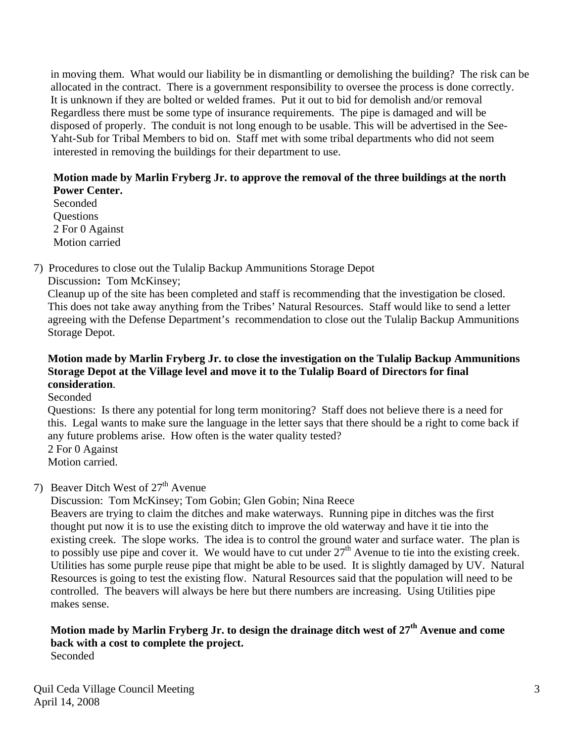in moving them. What would our liability be in dismantling or demolishing the building? The risk can be allocated in the contract. There is a government responsibility to oversee the process is done correctly. It is unknown if they are bolted or welded frames. Put it out to bid for demolish and/or removal Regardless there must be some type of insurance requirements. The pipe is damaged and will be disposed of properly. The conduit is not long enough to be usable. This will be advertised in the See- Yaht-Sub for Tribal Members to bid on. Staff met with some tribal departments who did not seem interested in removing the buildings for their department to use.

#### **Motion made by Marlin Fryberg Jr. to approve the removal of the three buildings at the north Power Center.**

 Seconded **Questions**  2 For 0 Against Motion carried

7) Procedures to close out the Tulalip Backup Ammunitions Storage Depot Discussion**:** Tom McKinsey;

 Cleanup up of the site has been completed and staff is recommending that the investigation be closed. This does not take away anything from the Tribes' Natural Resources. Staff would like to send a letter agreeing with the Defense Department's recommendation to close out the Tulalip Backup Ammunitions Storage Depot.

### **Motion made by Marlin Fryberg Jr. to close the investigation on the Tulalip Backup Ammunitions Storage Depot at the Village level and move it to the Tulalip Board of Directors for final consideration**.

Seconded

 Questions: Is there any potential for long term monitoring? Staff does not believe there is a need for this. Legal wants to make sure the language in the letter says that there should be a right to come back if any future problems arise. How often is the water quality tested?

2 For 0 Against

Motion carried.

## 7) Beaver Ditch West of  $27<sup>th</sup>$  Avenue

Discussion: Tom McKinsey; Tom Gobin; Glen Gobin; Nina Reece

Beavers are trying to claim the ditches and make waterways. Running pipe in ditches was the first thought put now it is to use the existing ditch to improve the old waterway and have it tie into the existing creek. The slope works. The idea is to control the ground water and surface water. The plan is to possibly use pipe and cover it. We would have to cut under  $27<sup>th</sup>$  Avenue to tie into the existing creek. Utilities has some purple reuse pipe that might be able to be used. It is slightly damaged by UV. Natural Resources is going to test the existing flow. Natural Resources said that the population will need to be controlled. The beavers will always be here but there numbers are increasing. Using Utilities pipe makes sense.

#### **Motion made by Marlin Fryberg Jr. to design the drainage ditch west of 27th Avenue and come back with a cost to complete the project.**  Seconded